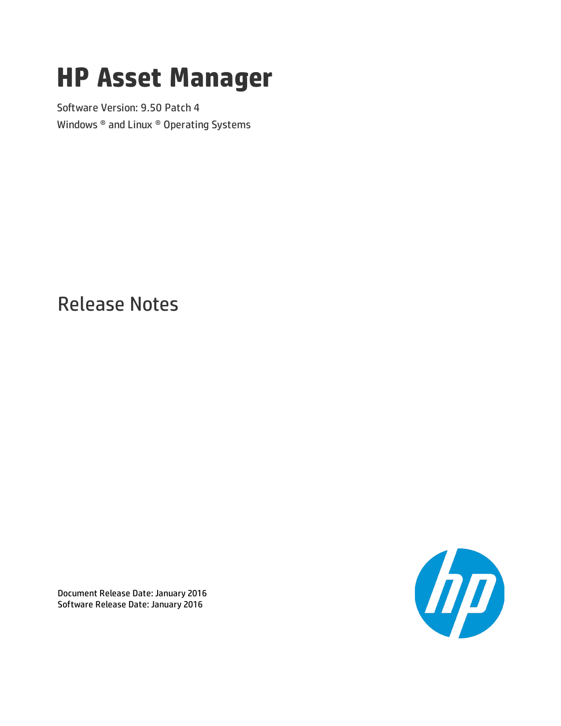# **HP Asset Manager**

Software Version: 9.50 Patch 4 Windows ® and Linux ® Operating Systems

Release Notes



Document Release Date: January 2016 Software Release Date: January 2016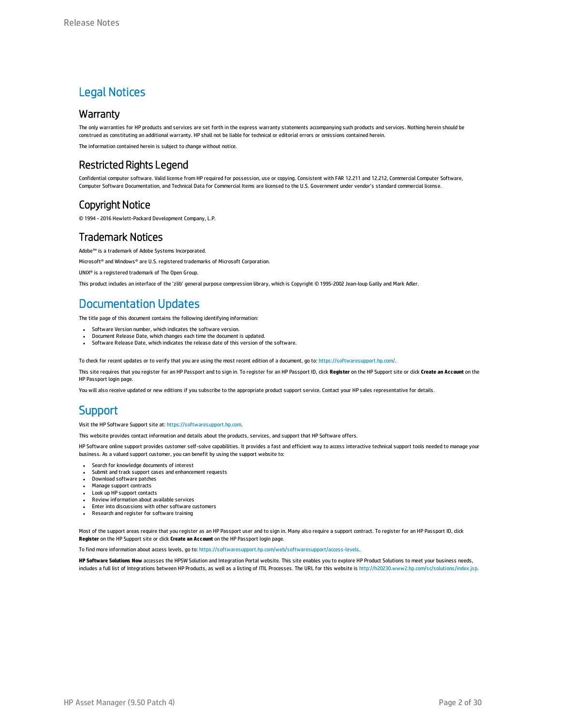#### Legal Notices

#### **Warranty**

The only warranties for HP products and services are set forth in the express warranty statements accompanying such products and services. Nothing herein should be construed as constituting an additional warranty. HP shall not be liable for technical or editorial errors or omissions contained herein.

The information contained herein is subject to change without notice.

#### Restricted Rights Legend

Confidential computer software. Valid license from HP required for possession, use or copying. Consistent with FAR 12.211 and 12.212, Commercial Computer Software, Computer Software Documentation, and Technical Data for Commercial Items are licensed to the U.S. Government under vendor's standard commercial license.

#### Copyright Notice

© 1994 - 2016 Hewlett-Packard Development Company, L.P.

#### Trademark Notices

Adobe™ is a trademark of Adobe Systems Incorporated.

Microsoft® and Windows® are U.S. registered trademarks of Microsoft Corporation.

UNIX® is a registered trademark of The Open Group.

This product includes an interface of the 'zlib' general purpose compression library, which is Copyright © 1995-2002 Jean-loup Gailly and Mark Adler.

#### Documentation Updates

The title page of this document contains the following identifying information:

- Software Version number, which indicates the software version.
- <sup>l</sup> Document Release Date, which changes each time the document is updated. Software Release Date, which indicates the release date of this version of the software.

To check for recent updates or to verify that you are using the most recent edition of a document, go to: <https://softwaresupport.hp.com/>.

This site requires that you register for an HP Passport and to sign in. To register for an HP Passport ID, click **Register** on the HP Support site or click **Create an Account** on the HP Passport login page.

You will also receive updated or new editions if you subscribe to the appropriate product support service. Contact your HP sales representative for details.

#### **Support**

Visit the HP Software Support site at: [https://softwaresupport.hp.com](https://softwaresupport.hp.com/).

This website provides contact information and details about the products, services, and support that HP Software offers.

HP Software online support provides customer self-solve capabilities. It provides a fast and efficient way to access interactive technical support tools needed to manage your business. As a valued support customer, you can benefit by using the support website to:

- **.** Search for knowledge documents of interest
- Submit and track support cases and enhancement requests
- Download software patches
- Manage support contracts • Look up HP support contacts
- <sup>l</sup> Review information about available services
- **.** Enter into discussions with other software customers
- <sup>l</sup> Research and register for software training

Most of the support areas require that you register as an HP Passport user and to sign in. Many also require a support contract. To register for an HP Passport ID, click **Register** on the HP Support site or click **Create an Account** on the HP Passport login page.

To find more information about access levels, go to: <https://softwaresupport.hp.com/web/softwaresupport/access-levels>.

**HP Software Solutions Now** accesses the HPSW Solution and Integration Portal website. This site enables you to explore HP Product Solutions to meet your business needs, includes a full list of Integrations between HP Products, as well as a listing of ITIL Processes. The URL for this website is <http://h20230.www2.hp.com/sc/solutions/index.jsp>.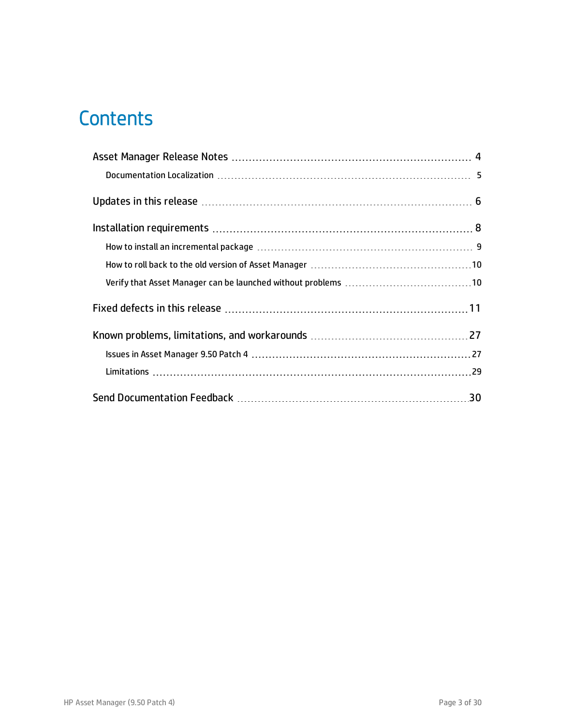# **Contents**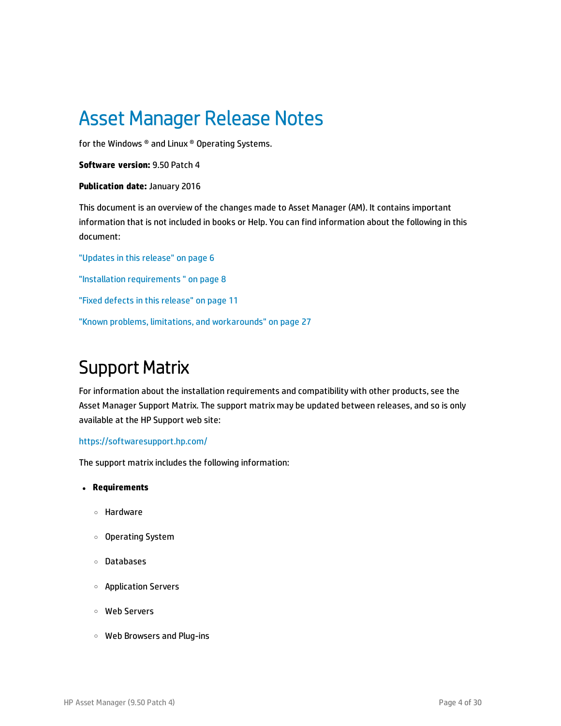# <span id="page-3-0"></span>Asset Manager Release Notes

for the Windows ® and Linux ® Operating Systems.

**Software version:** 9.50 Patch 4

#### **Publication date:** January 2016

This document is an overview of the changes made to Asset Manager (AM). It contains important information that is not included in books or Help. You can find information about the following in this document:

["Updates](#page-5-0) in this release" on page 6 "Installation [requirements](#page-7-0) " on page 8 "Fixed defects in this [release"](#page-10-0) on page 11 "Known problems, limitations, and [workarounds"](#page-26-0) on page 27

#### Support Matrix

For information about the installation requirements and compatibility with other products, see the Asset Manager Support Matrix. The support matrix may be updated between releases, and so is only available at the HP Support web site:

#### <https://softwaresupport.hp.com/>

The support matrix includes the following information:

- <sup>l</sup> **Requirements**
	- <sup>o</sup> Hardware
	- <sup>o</sup> Operating System
	- <sup>o</sup> Databases
	- <sup>o</sup> Application Servers
	- <sup>o</sup> Web Servers
	- <sup>o</sup> Web Browsers and Plug-ins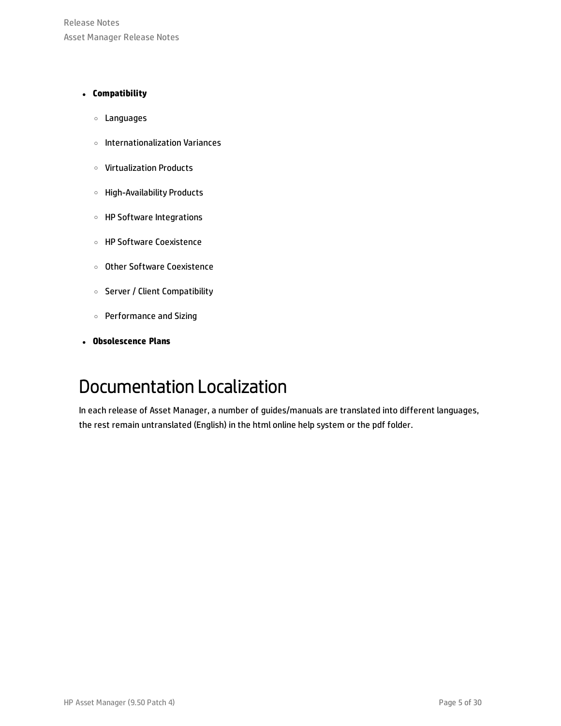Release Notes Asset Manager Release Notes

#### <sup>l</sup> **Compatibility**

- <sup>o</sup> Languages
- <sup>o</sup> Internationalization Variances
- <sup>o</sup> Virtualization Products
- <sup>o</sup> High-Availability Products
- <sup>o</sup> HP Software Integrations
- <sup>o</sup> HP Software Coexistence
- <sup>o</sup> Other Software Coexistence
- <sup>o</sup> Server / Client Compatibility
- <sup>o</sup> Performance and Sizing
- <span id="page-4-0"></span><sup>l</sup> **Obsolescence Plans**

### Documentation Localization

In each release of Asset Manager, a number of guides/manuals are translated into different languages, the rest remain untranslated (English) in the html online help system or the pdf folder.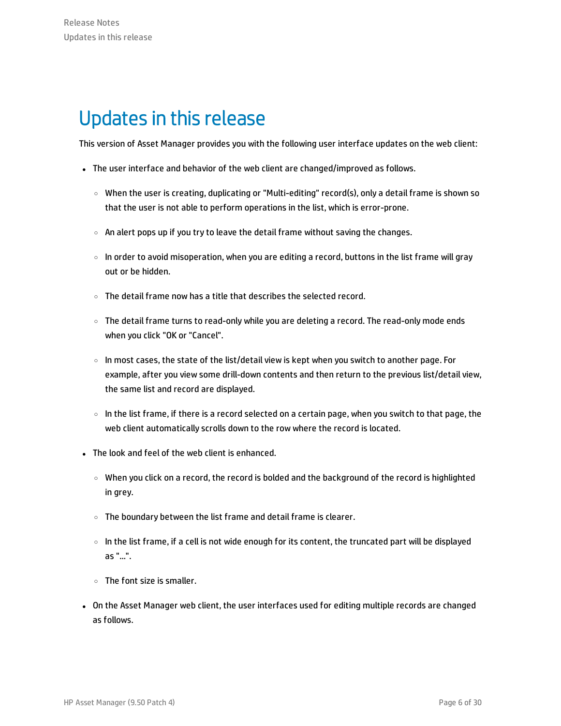### <span id="page-5-0"></span>Updates in this release

This version of Asset Manager provides you with the following user interface updates on the web client:

- The user interface and behavior of the web client are changed/improved as follows.
	- $\circ$  When the user is creating, duplicating or "Multi-editing" record(s), only a detail frame is shown so that the user is not able to perform operations in the list, which is error-prone.
	- $\circ$  An alert pops up if you try to leave the detail frame without saving the changes.
	- $\circ$  In order to avoid misoperation, when you are editing a record, buttons in the list frame will gray out or be hidden.
	- <sup>o</sup> The detail frame now has a title that describes the selected record.
	- $\circ$  The detail frame turns to read-only while you are deleting a record. The read-only mode ends when you click "OK or "Cancel".
	- $\circ$  In most cases, the state of the list/detail view is kept when you switch to another page. For example, after you view some drill-down contents and then return to the previous list/detail view, the same list and record are displayed.
	- $\circ$  In the list frame, if there is a record selected on a certain page, when you switch to that page, the web client automatically scrolls down to the row where the record is located.
- The look and feel of the web client is enhanced.
	- <sup>o</sup> When you click on a record, the record is bolded and the background of the record is highlighted in grey.
	- $\circ$  The boundary between the list frame and detail frame is clearer.
	- $\circ$  In the list frame, if a cell is not wide enough for its content, the truncated part will be displayed as "...".
	- <sup>o</sup> The font size is smaller.
- On the Asset Manager web client, the user interfaces used for editing multiple records are changed as follows.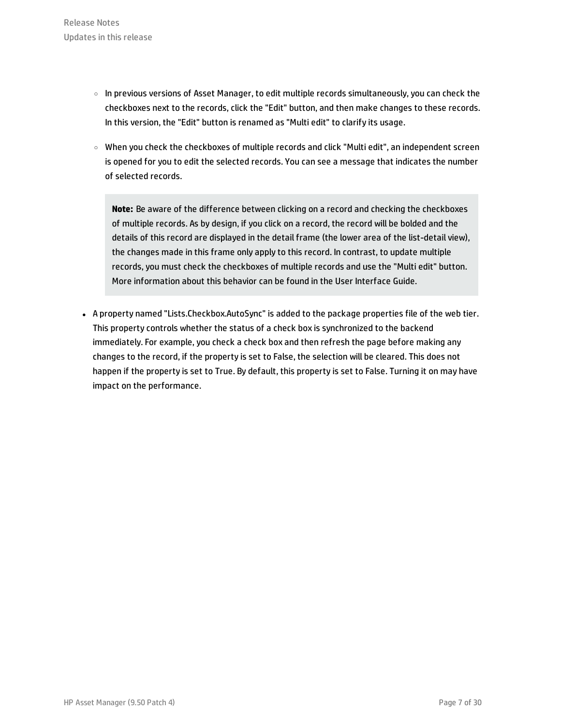- $\circ$  In previous versions of Asset Manager, to edit multiple records simultaneously, you can check the checkboxes next to the records, click the "Edit" button, and then make changes to these records. In this version, the "Edit" button is renamed as "Multi edit" to clarify its usage.
- $\circ$  When you check the checkboxes of multiple records and click "Multi edit", an independent screen is opened for you to edit the selected records. You can see a message that indicates the number of selected records.

**Note:** Be aware of the difference between clicking on a record and checking the checkboxes of multiple records. As by design, if you click on a record, the record will be bolded and the details of this record are displayed in the detail frame (the lower area of the list-detail view), the changes made in this frame only apply to this record. In contrast, to update multiple records, you must check the checkboxes of multiple records and use the "Multi edit" button. More information about this behavior can be found in the User Interface Guide.

• A property named "Lists.Checkbox.AutoSync" is added to the package properties file of the web tier. This property controls whether the status of a check box is synchronized to the backend immediately. For example, you check a check box and then refresh the page before making any changes to the record, if the property is set to False, the selection will be cleared. This does not happen if the property is set to True. By default, this property is set to False. Turning it on may have impact on the performance.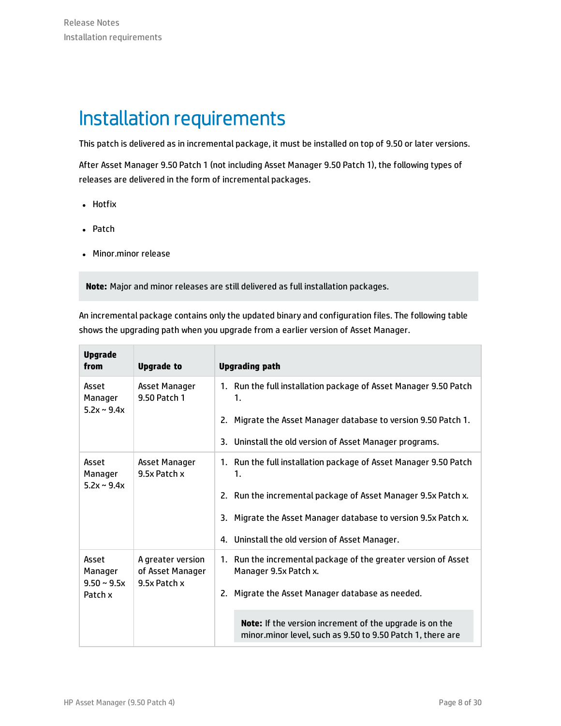# <span id="page-7-0"></span>Installation requirements

This patch is delivered as in incremental package, it must be installed on top of 9.50 or later versions.

After Asset Manager 9.50 Patch 1 (not including Asset Manager 9.50 Patch 1), the following types of releases are delivered in the form of incremental packages.

- Hotfix
- Patch
- Minor.minor release

**Note:** Major and minor releases are still delivered as full installation packages.

An incremental package contains only the updated binary and configuration files. The following table shows the upgrading path when you upgrade from a earlier version of Asset Manager.

| <b>Upgrade</b><br>from               | <b>Upgrade to</b>                                     | <b>Upgrading path</b>                                                                                                        |
|--------------------------------------|-------------------------------------------------------|------------------------------------------------------------------------------------------------------------------------------|
| Asset<br>Manager<br>$5.2x \sim 9.4x$ | Asset Manager<br>9.50 Patch 1                         | 1. Run the full installation package of Asset Manager 9.50 Patch<br>1.                                                       |
|                                      |                                                       | 2. Migrate the Asset Manager database to version 9.50 Patch 1.                                                               |
|                                      |                                                       | 3. Uninstall the old version of Asset Manager programs.                                                                      |
| Asset<br>Manager<br>$5.2x \sim 9.4x$ | Asset Manager<br>9.5x Patch x                         | 1. Run the full installation package of Asset Manager 9.50 Patch<br>1.                                                       |
|                                      |                                                       | 2. Run the incremental package of Asset Manager 9.5x Patch x.                                                                |
|                                      |                                                       | 3. Migrate the Asset Manager database to version 9.5x Patch x.                                                               |
|                                      |                                                       | 4. Uninstall the old version of Asset Manager.                                                                               |
| Asset<br>Manager<br>$9.50 - 9.5x$    | A greater version<br>of Asset Manager<br>9.5x Patch x | 1. Run the incremental package of the greater version of Asset<br>Manager 9.5x Patch x.                                      |
| Patch x                              |                                                       | 2. Migrate the Asset Manager database as needed.                                                                             |
|                                      |                                                       | <b>Note:</b> If the version increment of the upgrade is on the<br>minor.minor level, such as 9.50 to 9.50 Patch 1, there are |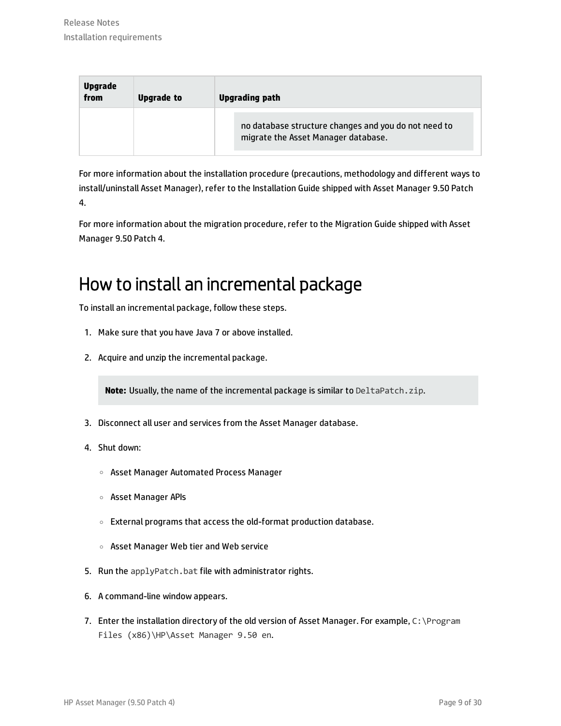| Upgrade<br>from | Upgrade to | <b>Upgrading path</b>                                                                       |  |
|-----------------|------------|---------------------------------------------------------------------------------------------|--|
|                 |            | no database structure changes and you do not need to<br>migrate the Asset Manager database. |  |

For more information about the installation procedure (precautions, methodology and different ways to install/uninstall Asset Manager), refer to the Installation Guide shipped with Asset Manager 9.50 Patch 4.

For more information about the migration procedure, refer to the Migration Guide shipped with Asset Manager 9.50 Patch 4.

### <span id="page-8-0"></span>How to install an incremental package

To install an incremental package, follow these steps.

- 1. Make sure that you have Java 7 or above installed.
- 2. Acquire and unzip the incremental package.

**Note:** Usually, the name of the incremental package is similar to DeltaPatch.zip.

- 3. Disconnect all user and services from the Asset Manager database.
- 4. Shut down:
	- <sup>o</sup> Asset Manager Automated Process Manager
	- <sup>o</sup> Asset Manager APIs
	- <sup>o</sup> External programs that access the old-format production database.
	- <sup>o</sup> Asset Manager Web tier and Web service
- 5. Run the applyPatch.bat file with administrator rights.
- 6. A command-line window appears.
- 7. Enter the installation directory of the old version of Asset Manager. For example, C:\Program Files (x86)\HP\Asset Manager 9.50 en.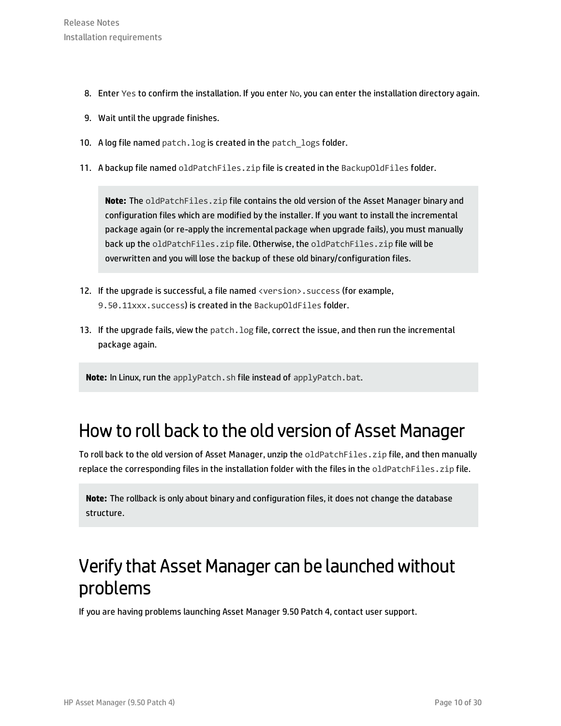- 8. Enter Yes to confirm the installation. If you enter No, you can enter the installation directory again.
- 9. Wait until the upgrade finishes.
- 10. A log file named patch. log is created in the patch\_logs folder.
- 11. A backup file named oldPatchFiles.zip file is created in the BackupOldFiles folder.

**Note:** The oldPatchFiles.zip file contains the old version of the Asset Manager binary and configuration files which are modified by the installer. If you want to install the incremental package again (or re-apply the incremental package when upgrade fails), you must manually back up the oldPatchFiles.zip file. Otherwise, the oldPatchFiles.zip file will be overwritten and you will lose the backup of these old binary/configuration files.

- 12. If the upgrade is successful, a file named <version>.success (for example, 9.50.11xxx.success) is created in the BackupOldFiles folder.
- 13. If the upgrade fails, view the patch.log file, correct the issue, and then run the incremental package again.

**Note:** In Linux, run the applyPatch.sh file instead of applyPatch.bat.

#### <span id="page-9-0"></span>How to roll back to the old version of Asset Manager

To roll back to the old version of Asset Manager, unzip the oldPatchFiles.zip file, and then manually replace the corresponding files in the installation folder with the files in the oldPatchFiles.zip file.

**Note:** The rollback is only about binary and configuration files, it does not change the database structure.

### <span id="page-9-1"></span>Verify that Asset Manager can be launched without problems

If you are having problems launching Asset Manager 9.50 Patch 4, contact user support.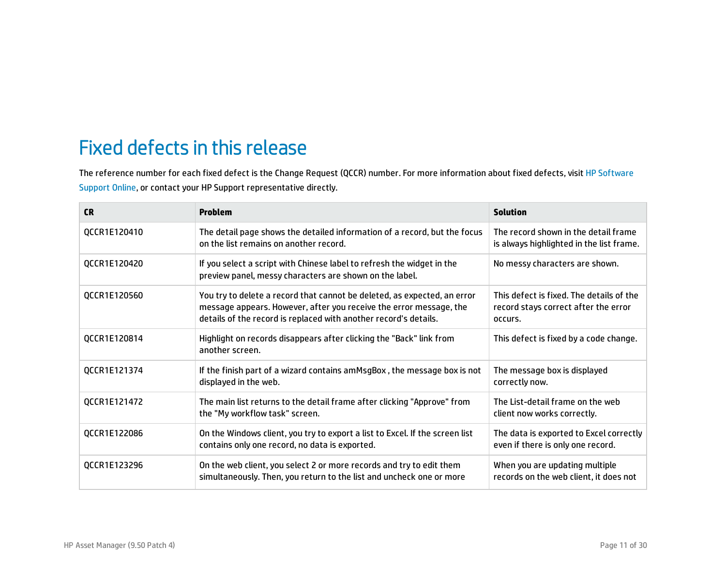# <span id="page-10-0"></span>Fixed defects in this release

The reference number for each fixed defect is the Change Request (QCCR) number. For more information about fixed defects, visit HP [Software](http://www.hp.com/managementsoftware/support) [Support](http://www.hp.com/managementsoftware/support) Online, or contact your HP Support representative directly.

| <b>CR</b>    | Problem                                                                                                                                                                                                            | <b>Solution</b>                                                                             |
|--------------|--------------------------------------------------------------------------------------------------------------------------------------------------------------------------------------------------------------------|---------------------------------------------------------------------------------------------|
| QCCR1E120410 | The detail page shows the detailed information of a record, but the focus<br>on the list remains on another record.                                                                                                | The record shown in the detail frame<br>is always highlighted in the list frame.            |
| QCCR1E120420 | If you select a script with Chinese label to refresh the widget in the<br>preview panel, messy characters are shown on the label.                                                                                  | No messy characters are shown.                                                              |
| QCCR1E120560 | You try to delete a record that cannot be deleted, as expected, an error<br>message appears. However, after you receive the error message, the<br>details of the record is replaced with another record's details. | This defect is fixed. The details of the<br>record stays correct after the error<br>occurs. |
| QCCR1E120814 | Highlight on records disappears after clicking the "Back" link from<br>another screen.                                                                                                                             | This defect is fixed by a code change.                                                      |
| QCCR1E121374 | If the finish part of a wizard contains amMsgBox, the message box is not<br>displayed in the web.                                                                                                                  | The message box is displayed<br>correctly now.                                              |
| QCCR1E121472 | The main list returns to the detail frame after clicking "Approve" from<br>the "My workflow task" screen.                                                                                                          | The List-detail frame on the web<br>client now works correctly.                             |
| QCCR1E122086 | On the Windows client, you try to export a list to Excel. If the screen list<br>contains only one record, no data is exported.                                                                                     | The data is exported to Excel correctly<br>even if there is only one record.                |
| QCCR1E123296 | On the web client, you select 2 or more records and try to edit them<br>simultaneously. Then, you return to the list and uncheck one or more                                                                       | When you are updating multiple<br>records on the web client, it does not                    |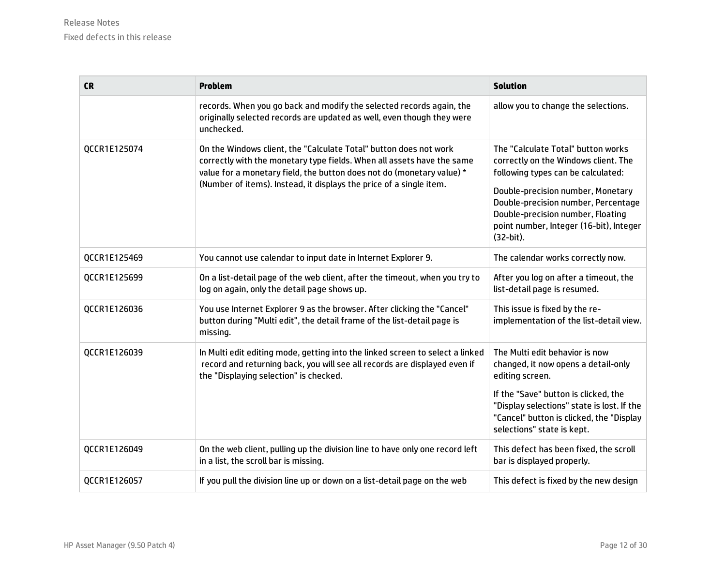| <b>CR</b>    | <b>Problem</b>                                                                                                                                                                                                                                                                              | <b>Solution</b>                                                                                                                                                                                                                                                                           |
|--------------|---------------------------------------------------------------------------------------------------------------------------------------------------------------------------------------------------------------------------------------------------------------------------------------------|-------------------------------------------------------------------------------------------------------------------------------------------------------------------------------------------------------------------------------------------------------------------------------------------|
|              | records. When you go back and modify the selected records again, the<br>originally selected records are updated as well, even though they were<br>unchecked.                                                                                                                                | allow you to change the selections.                                                                                                                                                                                                                                                       |
| QCCR1E125074 | On the Windows client, the "Calculate Total" button does not work<br>correctly with the monetary type fields. When all assets have the same<br>value for a monetary field, the button does not do (monetary value) *<br>(Number of items). Instead, it displays the price of a single item. | The "Calculate Total" button works<br>correctly on the Windows client. The<br>following types can be calculated:<br>Double-precision number, Monetary<br>Double-precision number, Percentage<br>Double-precision number, Floating<br>point number, Integer (16-bit), Integer<br>(32-bit). |
| QCCR1E125469 | You cannot use calendar to input date in Internet Explorer 9.                                                                                                                                                                                                                               | The calendar works correctly now.                                                                                                                                                                                                                                                         |
| QCCR1E125699 | On a list-detail page of the web client, after the timeout, when you try to<br>log on again, only the detail page shows up.                                                                                                                                                                 | After you log on after a timeout, the<br>list-detail page is resumed.                                                                                                                                                                                                                     |
| QCCR1E126036 | You use Internet Explorer 9 as the browser. After clicking the "Cancel"<br>button during "Multi edit", the detail frame of the list-detail page is<br>missing.                                                                                                                              | This issue is fixed by the re-<br>implementation of the list-detail view.                                                                                                                                                                                                                 |
| QCCR1E126039 | In Multi edit editing mode, getting into the linked screen to select a linked<br>record and returning back, you will see all records are displayed even if<br>the "Displaying selection" is checked.                                                                                        | The Multi edit behavior is now<br>changed, it now opens a detail-only<br>editing screen.                                                                                                                                                                                                  |
|              |                                                                                                                                                                                                                                                                                             | If the "Save" button is clicked, the<br>"Display selections" state is lost. If the<br>"Cancel" button is clicked, the "Display<br>selections" state is kept.                                                                                                                              |
| QCCR1E126049 | On the web client, pulling up the division line to have only one record left<br>in a list, the scroll bar is missing.                                                                                                                                                                       | This defect has been fixed, the scroll<br>bar is displayed properly.                                                                                                                                                                                                                      |
| QCCR1E126057 | If you pull the division line up or down on a list-detail page on the web                                                                                                                                                                                                                   | This defect is fixed by the new design                                                                                                                                                                                                                                                    |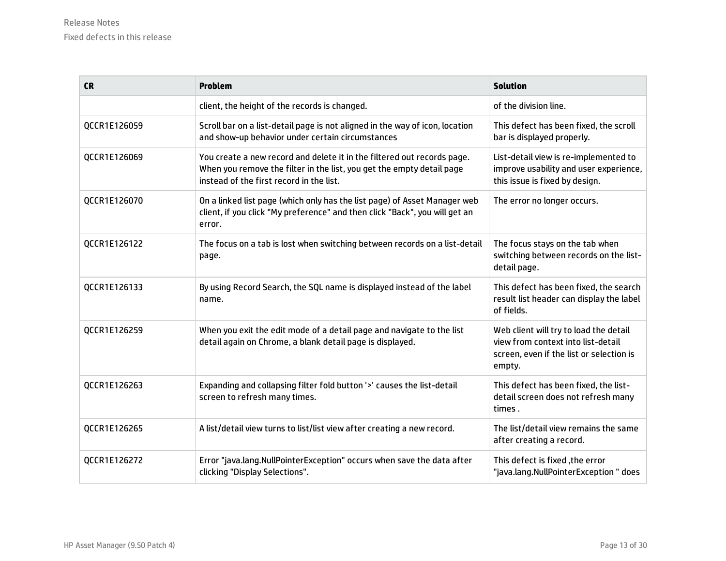| <b>CR</b>    | <b>Problem</b>                                                                                                                                                                               | <b>Solution</b>                                                                                                                    |
|--------------|----------------------------------------------------------------------------------------------------------------------------------------------------------------------------------------------|------------------------------------------------------------------------------------------------------------------------------------|
|              | client, the height of the records is changed.                                                                                                                                                | of the division line.                                                                                                              |
| QCCR1E126059 | Scroll bar on a list-detail page is not aligned in the way of icon, location<br>and show-up behavior under certain circumstances                                                             | This defect has been fixed, the scroll<br>bar is displayed properly.                                                               |
| QCCR1E126069 | You create a new record and delete it in the filtered out records page.<br>When you remove the filter in the list, you get the empty detail page<br>instead of the first record in the list. | List-detail view is re-implemented to<br>improve usability and user experience,<br>this issue is fixed by design.                  |
| QCCR1E126070 | On a linked list page (which only has the list page) of Asset Manager web<br>client, if you click "My preference" and then click "Back", you will get an<br>error.                           | The error no longer occurs.                                                                                                        |
| QCCR1E126122 | The focus on a tab is lost when switching between records on a list-detail<br>page.                                                                                                          | The focus stays on the tab when<br>switching between records on the list-<br>detail page.                                          |
| QCCR1E126133 | By using Record Search, the SQL name is displayed instead of the label<br>name.                                                                                                              | This defect has been fixed, the search<br>result list header can display the label<br>of fields.                                   |
| QCCR1E126259 | When you exit the edit mode of a detail page and navigate to the list<br>detail again on Chrome, a blank detail page is displayed.                                                           | Web client will try to load the detail<br>view from context into list-detail<br>screen, even if the list or selection is<br>empty. |
| QCCR1E126263 | Expanding and collapsing filter fold button '>' causes the list-detail<br>screen to refresh many times.                                                                                      | This defect has been fixed, the list-<br>detail screen does not refresh many<br>times.                                             |
| QCCR1E126265 | A list/detail view turns to list/list view after creating a new record.                                                                                                                      | The list/detail view remains the same<br>after creating a record.                                                                  |
| QCCR1E126272 | Error "java.lang.NullPointerException" occurs when save the data after<br>clicking "Display Selections".                                                                                     | This defect is fixed , the error<br>"java.lang.NullPointerException" does                                                          |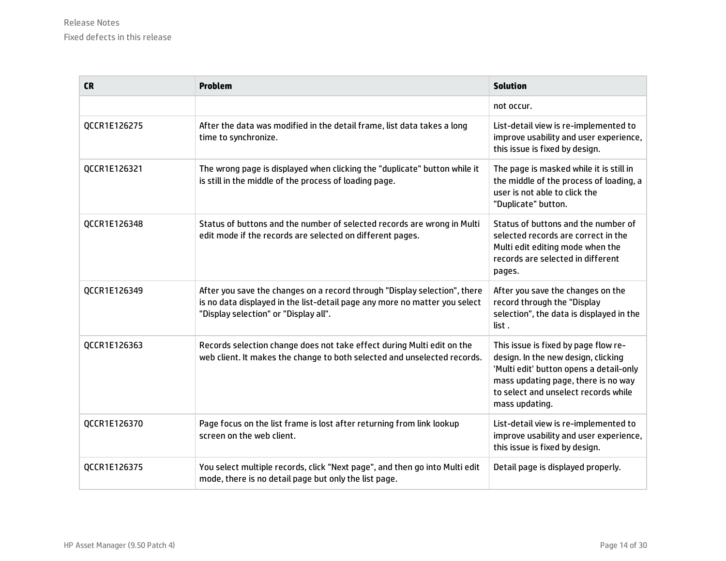| <b>CR</b>    | <b>Problem</b>                                                                                                                                                                                   | <b>Solution</b>                                                                                                                                                                                                         |
|--------------|--------------------------------------------------------------------------------------------------------------------------------------------------------------------------------------------------|-------------------------------------------------------------------------------------------------------------------------------------------------------------------------------------------------------------------------|
|              |                                                                                                                                                                                                  | not occur.                                                                                                                                                                                                              |
| QCCR1E126275 | After the data was modified in the detail frame, list data takes a long<br>time to synchronize.                                                                                                  | List-detail view is re-implemented to<br>improve usability and user experience,<br>this issue is fixed by design.                                                                                                       |
| QCCR1E126321 | The wrong page is displayed when clicking the "duplicate" button while it<br>is still in the middle of the process of loading page.                                                              | The page is masked while it is still in<br>the middle of the process of loading, a<br>user is not able to click the<br>"Duplicate" button.                                                                              |
| QCCR1E126348 | Status of buttons and the number of selected records are wrong in Multi<br>edit mode if the records are selected on different pages.                                                             | Status of buttons and the number of<br>selected records are correct in the<br>Multi edit editing mode when the<br>records are selected in different<br>pages.                                                           |
| QCCR1E126349 | After you save the changes on a record through "Display selection", there<br>is no data displayed in the list-detail page any more no matter you select<br>"Display selection" or "Display all". | After you save the changes on the<br>record through the "Display<br>selection", the data is displayed in the<br>list.                                                                                                   |
| QCCR1E126363 | Records selection change does not take effect during Multi edit on the<br>web client. It makes the change to both selected and unselected records.                                               | This issue is fixed by page flow re-<br>design. In the new design, clicking<br>'Multi edit' button opens a detail-only<br>mass updating page, there is no way<br>to select and unselect records while<br>mass updating. |
| QCCR1E126370 | Page focus on the list frame is lost after returning from link lookup<br>screen on the web client.                                                                                               | List-detail view is re-implemented to<br>improve usability and user experience,<br>this issue is fixed by design.                                                                                                       |
| QCCR1E126375 | You select multiple records, click "Next page", and then go into Multi edit<br>mode, there is no detail page but only the list page.                                                             | Detail page is displayed properly.                                                                                                                                                                                      |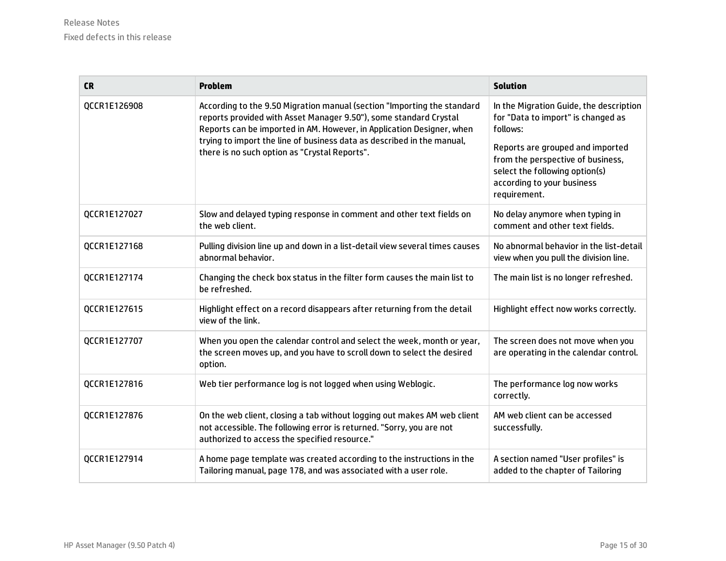| <b>CR</b>    | <b>Problem</b>                                                                                                                                                                                                                                                                                                                                   | <b>Solution</b>                                                                                                                                       |
|--------------|--------------------------------------------------------------------------------------------------------------------------------------------------------------------------------------------------------------------------------------------------------------------------------------------------------------------------------------------------|-------------------------------------------------------------------------------------------------------------------------------------------------------|
| QCCR1E126908 | According to the 9.50 Migration manual (section "Importing the standard<br>reports provided with Asset Manager 9.50"), some standard Crystal<br>Reports can be imported in AM. However, in Application Designer, when<br>trying to import the line of business data as described in the manual,<br>there is no such option as "Crystal Reports". | In the Migration Guide, the description<br>for "Data to import" is changed as<br>follows:                                                             |
|              |                                                                                                                                                                                                                                                                                                                                                  | Reports are grouped and imported<br>from the perspective of business,<br>select the following option(s)<br>according to your business<br>requirement. |
| QCCR1E127027 | Slow and delayed typing response in comment and other text fields on<br>the web client.                                                                                                                                                                                                                                                          | No delay anymore when typing in<br>comment and other text fields.                                                                                     |
| QCCR1E127168 | Pulling division line up and down in a list-detail view several times causes<br>abnormal behavior.                                                                                                                                                                                                                                               | No abnormal behavior in the list-detail<br>view when you pull the division line.                                                                      |
| QCCR1E127174 | Changing the check box status in the filter form causes the main list to<br>be refreshed.                                                                                                                                                                                                                                                        | The main list is no longer refreshed.                                                                                                                 |
| QCCR1E127615 | Highlight effect on a record disappears after returning from the detail<br>view of the link.                                                                                                                                                                                                                                                     | Highlight effect now works correctly.                                                                                                                 |
| QCCR1E127707 | When you open the calendar control and select the week, month or year,<br>the screen moves up, and you have to scroll down to select the desired<br>option.                                                                                                                                                                                      | The screen does not move when you<br>are operating in the calendar control.                                                                           |
| QCCR1E127816 | Web tier performance log is not logged when using Weblogic.                                                                                                                                                                                                                                                                                      | The performance log now works<br>correctly.                                                                                                           |
| QCCR1E127876 | On the web client, closing a tab without logging out makes AM web client<br>not accessible. The following error is returned. "Sorry, you are not<br>authorized to access the specified resource."                                                                                                                                                | AM web client can be accessed<br>successfully.                                                                                                        |
| QCCR1E127914 | A home page template was created according to the instructions in the<br>Tailoring manual, page 178, and was associated with a user role.                                                                                                                                                                                                        | A section named "User profiles" is<br>added to the chapter of Tailoring                                                                               |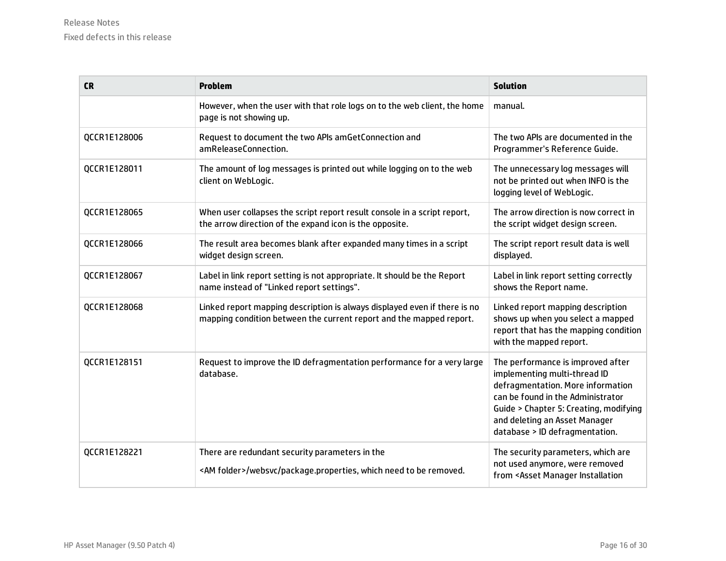| <b>CR</b>    | <b>Problem</b>                                                                                                                                   | <b>Solution</b>                                                                                                                                                                                                                                          |
|--------------|--------------------------------------------------------------------------------------------------------------------------------------------------|----------------------------------------------------------------------------------------------------------------------------------------------------------------------------------------------------------------------------------------------------------|
|              | However, when the user with that role logs on to the web client, the home<br>page is not showing up.                                             | manual.                                                                                                                                                                                                                                                  |
| QCCR1E128006 | Request to document the two APIs amGetConnection and<br>amReleaseConnection.                                                                     | The two APIs are documented in the<br>Programmer's Reference Guide.                                                                                                                                                                                      |
| QCCR1E128011 | The amount of log messages is printed out while logging on to the web<br>client on WebLogic.                                                     | The unnecessary log messages will<br>not be printed out when INFO is the<br>logging level of WebLogic.                                                                                                                                                   |
| QCCR1E128065 | When user collapses the script report result console in a script report,<br>the arrow direction of the expand icon is the opposite.              | The arrow direction is now correct in<br>the script widget design screen.                                                                                                                                                                                |
| QCCR1E128066 | The result area becomes blank after expanded many times in a script<br>widget design screen.                                                     | The script report result data is well<br>displayed.                                                                                                                                                                                                      |
| QCCR1E128067 | Label in link report setting is not appropriate. It should be the Report<br>name instead of "Linked report settings".                            | Label in link report setting correctly<br>shows the Report name.                                                                                                                                                                                         |
| QCCR1E128068 | Linked report mapping description is always displayed even if there is no<br>mapping condition between the current report and the mapped report. | Linked report mapping description<br>shows up when you select a mapped<br>report that has the mapping condition<br>with the mapped report.                                                                                                               |
| QCCR1E128151 | Request to improve the ID defragmentation performance for a very large<br>database.                                                              | The performance is improved after<br>implementing multi-thread ID<br>defragmentation. More information<br>can be found in the Administrator<br>Guide > Chapter 5: Creating, modifying<br>and deleting an Asset Manager<br>database > ID defragmentation. |
| QCCR1E128221 | There are redundant security parameters in the<br><am folder="">/websvc/package.properties, which need to be removed.</am>                       | The security parameters, which are<br>not used anymore, were removed<br>from <asset installation<="" manager="" td=""></asset>                                                                                                                           |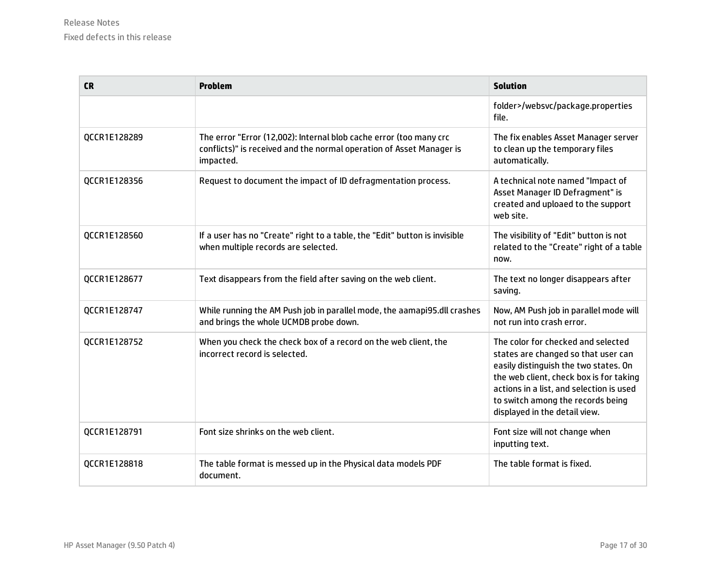| <b>CR</b>    | <b>Problem</b>                                                                                                                                          | <b>Solution</b>                                                                                                                                                                                                                                                                 |
|--------------|---------------------------------------------------------------------------------------------------------------------------------------------------------|---------------------------------------------------------------------------------------------------------------------------------------------------------------------------------------------------------------------------------------------------------------------------------|
|              |                                                                                                                                                         | folder>/websvc/package.properties<br>file.                                                                                                                                                                                                                                      |
| QCCR1E128289 | The error "Error (12,002): Internal blob cache error (too many crc<br>conflicts)" is received and the normal operation of Asset Manager is<br>impacted. | The fix enables Asset Manager server<br>to clean up the temporary files<br>automatically.                                                                                                                                                                                       |
| QCCR1E128356 | Request to document the impact of ID defragmentation process.                                                                                           | A technical note named "Impact of<br>Asset Manager ID Defragment" is<br>created and uploaed to the support<br>web site.                                                                                                                                                         |
| QCCR1E128560 | If a user has no "Create" right to a table, the "Edit" button is invisible<br>when multiple records are selected.                                       | The visibility of "Edit" button is not<br>related to the "Create" right of a table<br>now.                                                                                                                                                                                      |
| QCCR1E128677 | Text disappears from the field after saving on the web client.                                                                                          | The text no longer disappears after<br>saving.                                                                                                                                                                                                                                  |
| QCCR1E128747 | While running the AM Push job in parallel mode, the aamapi95.dll crashes<br>and brings the whole UCMDB probe down.                                      | Now, AM Push job in parallel mode will<br>not run into crash error.                                                                                                                                                                                                             |
| QCCR1E128752 | When you check the check box of a record on the web client, the<br>incorrect record is selected.                                                        | The color for checked and selected<br>states are changed so that user can<br>easily distinguish the two states. On<br>the web client, check box is for taking<br>actions in a list, and selection is used<br>to switch among the records being<br>displayed in the detail view. |
| QCCR1E128791 | Font size shrinks on the web client.                                                                                                                    | Font size will not change when<br>inputting text.                                                                                                                                                                                                                               |
| QCCR1E128818 | The table format is messed up in the Physical data models PDF<br>document.                                                                              | The table format is fixed.                                                                                                                                                                                                                                                      |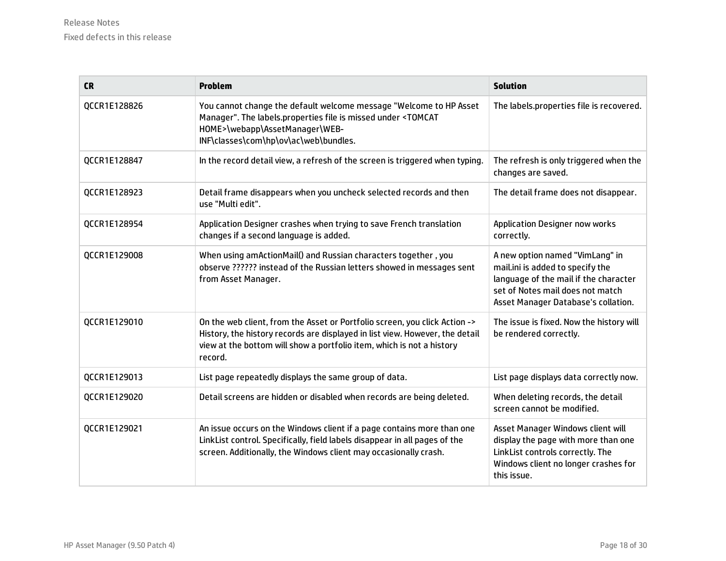| <b>CR</b>    | Problem                                                                                                                                                                                                                                        | <b>Solution</b>                                                                                                                                                                         |
|--------------|------------------------------------------------------------------------------------------------------------------------------------------------------------------------------------------------------------------------------------------------|-----------------------------------------------------------------------------------------------------------------------------------------------------------------------------------------|
| QCCR1E128826 | You cannot change the default welcome message "Welcome to HP Asset<br>Manager". The labels.properties file is missed under <tomcat<br>HOME&gt;\webapp\AssetManager\WEB-<br/>INF\classes\com\hp\ov\ac\web\bundles.</tomcat<br>                  | The labels.properties file is recovered.                                                                                                                                                |
| QCCR1E128847 | In the record detail view, a refresh of the screen is triggered when typing.                                                                                                                                                                   | The refresh is only triggered when the<br>changes are saved.                                                                                                                            |
| QCCR1E128923 | Detail frame disappears when you uncheck selected records and then<br>use "Multi edit".                                                                                                                                                        | The detail frame does not disappear.                                                                                                                                                    |
| QCCR1E128954 | Application Designer crashes when trying to save French translation<br>changes if a second language is added.                                                                                                                                  | <b>Application Designer now works</b><br>correctly.                                                                                                                                     |
| QCCR1E129008 | When using amActionMail() and Russian characters together, you<br>observe ?????? instead of the Russian letters showed in messages sent<br>from Asset Manager.                                                                                 | A new option named "VimLang" in<br>mail.ini is added to specify the<br>language of the mail if the character<br>set of Notes mail does not match<br>Asset Manager Database's collation. |
| QCCR1E129010 | On the web client, from the Asset or Portfolio screen, you click Action -><br>History, the history records are displayed in list view. However, the detail<br>view at the bottom will show a portfolio item, which is not a history<br>record. | The issue is fixed. Now the history will<br>be rendered correctly.                                                                                                                      |
| QCCR1E129013 | List page repeatedly displays the same group of data.                                                                                                                                                                                          | List page displays data correctly now.                                                                                                                                                  |
| QCCR1E129020 | Detail screens are hidden or disabled when records are being deleted.                                                                                                                                                                          | When deleting records, the detail<br>screen cannot be modified.                                                                                                                         |
| QCCR1E129021 | An issue occurs on the Windows client if a page contains more than one<br>LinkList control. Specifically, field labels disappear in all pages of the<br>screen. Additionally, the Windows client may occasionally crash.                       | Asset Manager Windows client will<br>display the page with more than one<br>LinkList controls correctly. The<br>Windows client no longer crashes for<br>this issue.                     |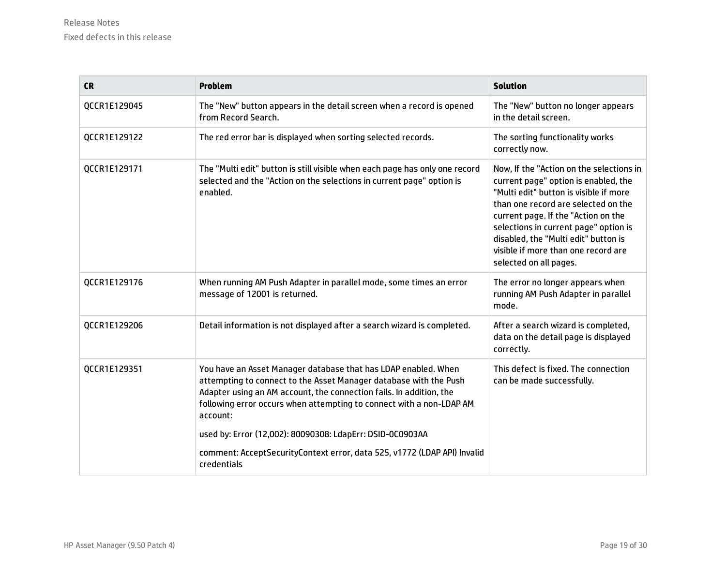| <b>CR</b>    | <b>Problem</b>                                                                                                                                                                                                                                                                                                                                                                                                                                         | <b>Solution</b>                                                                                                                                                                                                                                                                                                                                            |
|--------------|--------------------------------------------------------------------------------------------------------------------------------------------------------------------------------------------------------------------------------------------------------------------------------------------------------------------------------------------------------------------------------------------------------------------------------------------------------|------------------------------------------------------------------------------------------------------------------------------------------------------------------------------------------------------------------------------------------------------------------------------------------------------------------------------------------------------------|
| QCCR1E129045 | The "New" button appears in the detail screen when a record is opened<br>from Record Search.                                                                                                                                                                                                                                                                                                                                                           | The "New" button no longer appears<br>in the detail screen.                                                                                                                                                                                                                                                                                                |
| QCCR1E129122 | The red error bar is displayed when sorting selected records.                                                                                                                                                                                                                                                                                                                                                                                          | The sorting functionality works<br>correctly now.                                                                                                                                                                                                                                                                                                          |
| QCCR1E129171 | The "Multi edit" button is still visible when each page has only one record<br>selected and the "Action on the selections in current page" option is<br>enabled.                                                                                                                                                                                                                                                                                       | Now, If the "Action on the selections in<br>current page" option is enabled, the<br>"Multi edit" button is visible if more<br>than one record are selected on the<br>current page. If the "Action on the<br>selections in current page" option is<br>disabled, the "Multi edit" button is<br>visible if more than one record are<br>selected on all pages. |
| QCCR1E129176 | When running AM Push Adapter in parallel mode, some times an error<br>message of 12001 is returned.                                                                                                                                                                                                                                                                                                                                                    | The error no longer appears when<br>running AM Push Adapter in parallel<br>mode.                                                                                                                                                                                                                                                                           |
| QCCR1E129206 | Detail information is not displayed after a search wizard is completed.                                                                                                                                                                                                                                                                                                                                                                                | After a search wizard is completed,<br>data on the detail page is displayed<br>correctly.                                                                                                                                                                                                                                                                  |
| QCCR1E129351 | You have an Asset Manager database that has LDAP enabled. When<br>attempting to connect to the Asset Manager database with the Push<br>Adapter using an AM account, the connection fails. In addition, the<br>following error occurs when attempting to connect with a non-LDAP AM<br>account:<br>used by: Error (12,002): 80090308: LdapErr: DSID-0C0903AA<br>comment: AcceptSecurityContext error, data 525, v1772 (LDAP API) Invalid<br>credentials | This defect is fixed. The connection<br>can be made successfully.                                                                                                                                                                                                                                                                                          |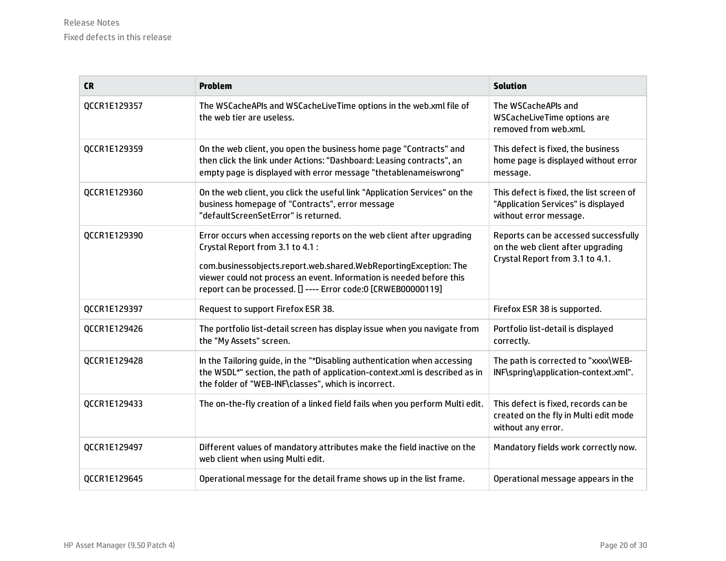| <b>CR</b>    | <b>Problem</b>                                                                                                                                                                                                                                                                                                         | <b>Solution</b>                                                                                              |
|--------------|------------------------------------------------------------------------------------------------------------------------------------------------------------------------------------------------------------------------------------------------------------------------------------------------------------------------|--------------------------------------------------------------------------------------------------------------|
| QCCR1E129357 | The WSCacheAPIs and WSCacheLiveTime options in the web.xml file of<br>the web tier are useless.                                                                                                                                                                                                                        | The WSCacheAPIs and<br>WSCacheLiveTime options are<br>removed from web.xml.                                  |
| QCCR1E129359 | On the web client, you open the business home page "Contracts" and<br>then click the link under Actions: "Dashboard: Leasing contracts", an<br>empty page is displayed with error message "thetablenameiswrong"                                                                                                        | This defect is fixed, the business<br>home page is displayed without error<br>message.                       |
| QCCR1E129360 | On the web client, you click the useful link "Application Services" on the<br>business homepage of "Contracts", error message<br>"defaultScreenSetError" is returned.                                                                                                                                                  | This defect is fixed, the list screen of<br>"Application Services" is displayed<br>without error message.    |
| QCCR1E129390 | Error occurs when accessing reports on the web client after upgrading<br>Crystal Report from 3.1 to 4.1 :<br>com.businessobjects.report.web.shared.WebReportingException: The<br>viewer could not process an event. Information is needed before this<br>report can be processed. [] ---- Error code:0 [CRWEB00000119] | Reports can be accessed successfully<br>on the web client after upgrading<br>Crystal Report from 3.1 to 4.1. |
| QCCR1E129397 | Request to support Firefox ESR 38.                                                                                                                                                                                                                                                                                     | Firefox ESR 38 is supported.                                                                                 |
| QCCR1E129426 | The portfolio list-detail screen has display issue when you navigate from<br>the "My Assets" screen.                                                                                                                                                                                                                   | Portfolio list-detail is displayed<br>correctly.                                                             |
| QCCR1E129428 | In the Tailoring guide, in the "*Disabling authentication when accessing<br>the WSDL*" section, the path of application-context.xml is described as in<br>the folder of "WEB-INF\classes", which is incorrect.                                                                                                         | The path is corrected to "xxxx\WEB-<br>INF\spring\application-context.xml".                                  |
| QCCR1E129433 | The on-the-fly creation of a linked field fails when you perform Multi edit.                                                                                                                                                                                                                                           | This defect is fixed, records can be<br>created on the fly in Multi edit mode<br>without any error.          |
| QCCR1E129497 | Different values of mandatory attributes make the field inactive on the<br>web client when using Multi edit.                                                                                                                                                                                                           | Mandatory fields work correctly now.                                                                         |
| QCCR1E129645 | Operational message for the detail frame shows up in the list frame.                                                                                                                                                                                                                                                   | Operational message appears in the                                                                           |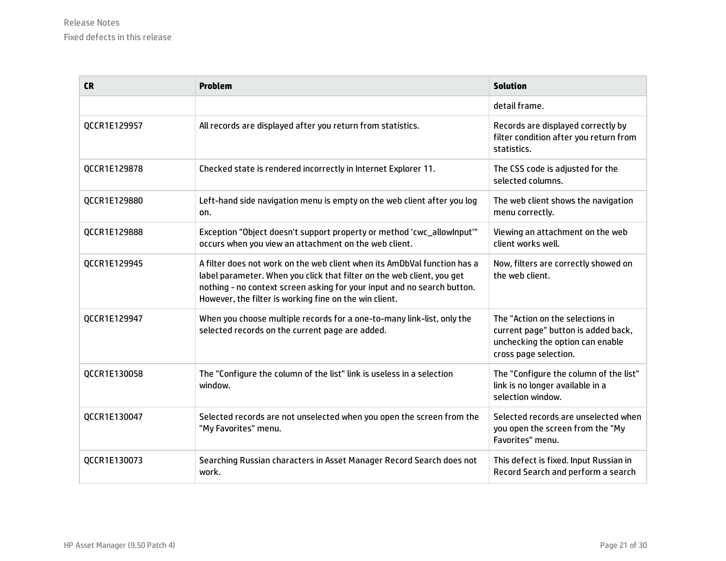| <b>CR</b>    | <b>Problem</b>                                                                                                                                                                                                                                                                          | <b>Solution</b>                                                                                                                      |
|--------------|-----------------------------------------------------------------------------------------------------------------------------------------------------------------------------------------------------------------------------------------------------------------------------------------|--------------------------------------------------------------------------------------------------------------------------------------|
|              |                                                                                                                                                                                                                                                                                         | detail frame.                                                                                                                        |
| QCCR1E129957 | All records are displayed after you return from statistics.                                                                                                                                                                                                                             | Records are displayed correctly by<br>filter condition after you return from<br>statistics.                                          |
| QCCR1E129878 | Checked state is rendered incorrectly in Internet Explorer 11.                                                                                                                                                                                                                          | The CSS code is adjusted for the<br>selected columns.                                                                                |
| QCCR1E129880 | Left-hand side navigation menu is empty on the web client after you log<br>on.                                                                                                                                                                                                          | The web client shows the navigation<br>menu correctly.                                                                               |
| QCCR1E129888 | Exception "Object doesn't support property or method 'cwc_allowInput'"<br>occurs when you view an attachment on the web client.                                                                                                                                                         | Viewing an attachment on the web<br>client works well.                                                                               |
| QCCR1E129945 | A filter does not work on the web client when its AmDbVal function has a<br>label parameter. When you click that filter on the web client, you get<br>nothing - no context screen asking for your input and no search button.<br>However, the filter is working fine on the win client. | Now, filters are correctly showed on<br>the web client.                                                                              |
| QCCR1E129947 | When you choose multiple records for a one-to-many link-list, only the<br>selected records on the current page are added.                                                                                                                                                               | The "Action on the selections in<br>current page" button is added back,<br>unchecking the option can enable<br>cross page selection. |
| QCCR1E130058 | The "Configure the column of the list" link is useless in a selection<br>window.                                                                                                                                                                                                        | The "Configure the column of the list"<br>link is no longer available in a<br>selection window.                                      |
| QCCR1E130047 | Selected records are not unselected when you open the screen from the<br>"My Favorites" menu.                                                                                                                                                                                           | Selected records are unselected when<br>you open the screen from the "My<br>Favorites" menu.                                         |
| QCCR1E130073 | Searching Russian characters in Asset Manager Record Search does not<br>work.                                                                                                                                                                                                           | This defect is fixed. Input Russian in<br>Record Search and perform a search                                                         |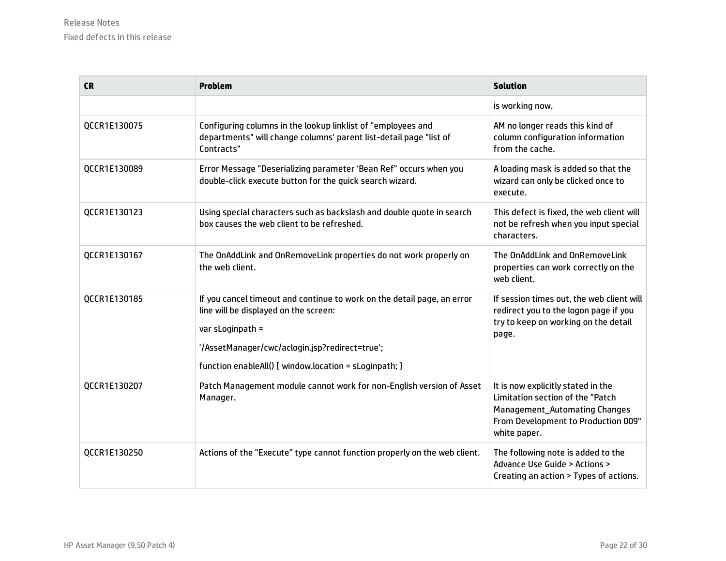| <b>CR</b>    | <b>Problem</b>                                                                                                                                                                                                                                   | <b>Solution</b>                                                                                                                                                       |
|--------------|--------------------------------------------------------------------------------------------------------------------------------------------------------------------------------------------------------------------------------------------------|-----------------------------------------------------------------------------------------------------------------------------------------------------------------------|
|              |                                                                                                                                                                                                                                                  | is working now.                                                                                                                                                       |
| QCCR1E130075 | Configuring columns in the lookup linklist of "employees and<br>departments" will change columns' parent list-detail page "list of<br>Contracts"                                                                                                 | AM no longer reads this kind of<br>column configuration information<br>from the cache.                                                                                |
| QCCR1E130089 | Error Message "Deserializing parameter 'Bean Ref" occurs when you<br>double-click execute button for the quick search wizard.                                                                                                                    | A loading mask is added so that the<br>wizard can only be clicked once to<br>execute.                                                                                 |
| QCCR1E130123 | Using special characters such as backslash and double quote in search<br>box causes the web client to be refreshed.                                                                                                                              | This defect is fixed, the web client will<br>not be refresh when you input special<br>characters.                                                                     |
| QCCR1E130167 | The OnAddLink and OnRemoveLink properties do not work properly on<br>the web client.                                                                                                                                                             | The OnAddLink and OnRemoveLink<br>properties can work correctly on the<br>web client.                                                                                 |
| QCCR1E130185 | If you cancel timeout and continue to work on the detail page, an error<br>line will be displayed on the screen:<br>var sLoginpath =<br>'/AssetManager/cwc/aclogin.jsp?redirect=true';<br>function enableAll() { window.location = sLoginpath; } | If session times out, the web client will<br>redirect you to the logon page if you<br>try to keep on working on the detail<br>page.                                   |
| QCCR1E130207 | Patch Management module cannot work for non-English version of Asset<br>Manager.                                                                                                                                                                 | It is now explicitly stated in the<br>Limitation section of the "Patch<br><b>Management_Automating Changes</b><br>From Development to Production 009"<br>white paper. |
| QCCR1E130250 | Actions of the "Execute" type cannot function properly on the web client.                                                                                                                                                                        | The following note is added to the<br>Advance Use Guide > Actions ><br>Creating an action > Types of actions.                                                         |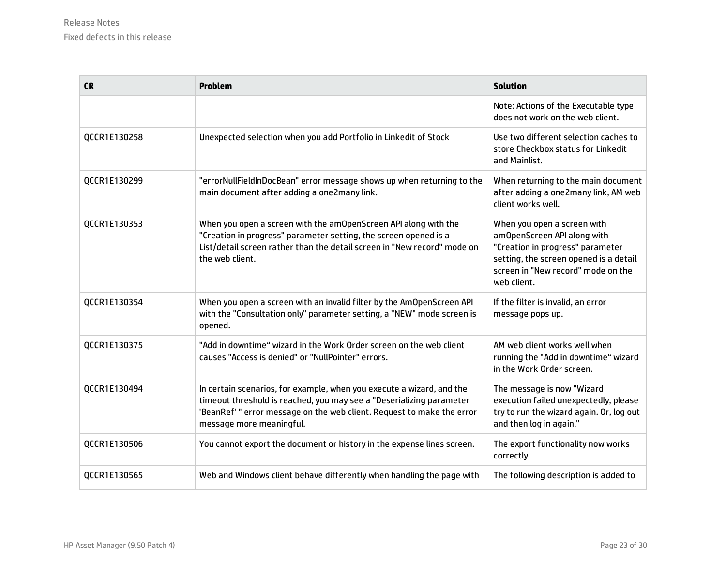| <b>CR</b>    | <b>Problem</b>                                                                                                                                                                                                                                      | <b>Solution</b>                                                                                                                                                                               |
|--------------|-----------------------------------------------------------------------------------------------------------------------------------------------------------------------------------------------------------------------------------------------------|-----------------------------------------------------------------------------------------------------------------------------------------------------------------------------------------------|
|              |                                                                                                                                                                                                                                                     | Note: Actions of the Executable type<br>does not work on the web client.                                                                                                                      |
| QCCR1E130258 | Unexpected selection when you add Portfolio in Linkedit of Stock                                                                                                                                                                                    | Use two different selection caches to<br>store Checkbox status for Linkedit<br>and Mainlist.                                                                                                  |
| QCCR1E130299 | "errorNullFieldInDocBean" error message shows up when returning to the<br>main document after adding a one2many link.                                                                                                                               | When returning to the main document<br>after adding a one2many link, AM web<br>client works well.                                                                                             |
| QCCR1E130353 | When you open a screen with the amOpenScreen API along with the<br>"Creation in progress" parameter setting, the screen opened is a<br>List/detail screen rather than the detail screen in "New record" mode on<br>the web client.                  | When you open a screen with<br>amOpenScreen API along with<br>"Creation in progress" parameter<br>setting, the screen opened is a detail<br>screen in "New record" mode on the<br>web client. |
| QCCR1E130354 | When you open a screen with an invalid filter by the AmOpenScreen API<br>with the "Consultation only" parameter setting, a "NEW" mode screen is<br>opened.                                                                                          | If the filter is invalid, an error<br>message pops up.                                                                                                                                        |
| QCCR1E130375 | "Add in downtime" wizard in the Work Order screen on the web client<br>causes "Access is denied" or "NullPointer" errors.                                                                                                                           | AM web client works well when<br>running the "Add in downtime" wizard<br>in the Work Order screen.                                                                                            |
| QCCR1E130494 | In certain scenarios, for example, when you execute a wizard, and the<br>timeout threshold is reached, you may see a "Deserializing parameter<br>'BeanRef' " error message on the web client. Request to make the error<br>message more meaningful. | The message is now "Wizard<br>execution failed unexpectedly, please<br>try to run the wizard again. Or, log out<br>and then log in again."                                                    |
| QCCR1E130506 | You cannot export the document or history in the expense lines screen.                                                                                                                                                                              | The export functionality now works<br>correctly.                                                                                                                                              |
| QCCR1E130565 | Web and Windows client behave differently when handling the page with                                                                                                                                                                               | The following description is added to                                                                                                                                                         |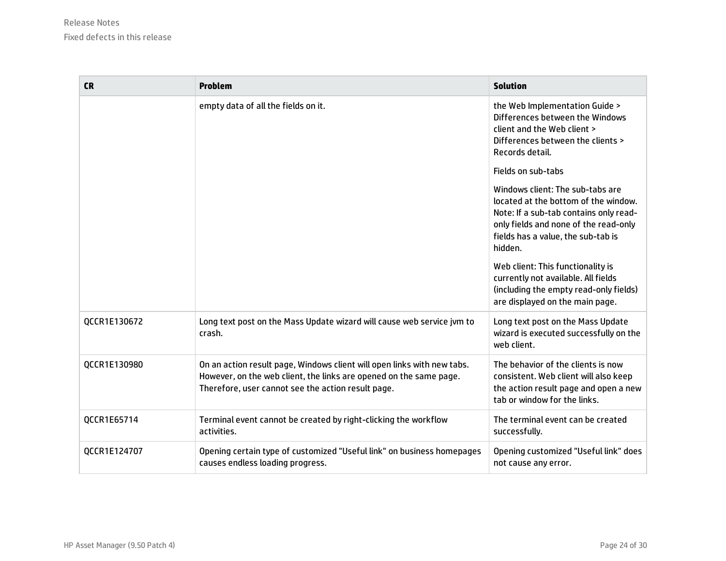| <b>CR</b>    | <b>Problem</b>                                                                                                                                                                                      | <b>Solution</b>                                                                                                                                                                                              |
|--------------|-----------------------------------------------------------------------------------------------------------------------------------------------------------------------------------------------------|--------------------------------------------------------------------------------------------------------------------------------------------------------------------------------------------------------------|
|              | empty data of all the fields on it.                                                                                                                                                                 | the Web Implementation Guide ><br>Differences between the Windows<br>client and the Web client ><br>Differences between the clients ><br>Records detail.                                                     |
|              |                                                                                                                                                                                                     | Fields on sub-tabs                                                                                                                                                                                           |
|              |                                                                                                                                                                                                     | Windows client: The sub-tabs are<br>located at the bottom of the window.<br>Note: If a sub-tab contains only read-<br>only fields and none of the read-only<br>fields has a value, the sub-tab is<br>hidden. |
|              |                                                                                                                                                                                                     | Web client: This functionality is<br>currently not available. All fields<br>(including the empty read-only fields)<br>are displayed on the main page.                                                        |
| QCCR1E130672 | Long text post on the Mass Update wizard will cause web service jvm to<br>crash.                                                                                                                    | Long text post on the Mass Update<br>wizard is executed successfully on the<br>web client.                                                                                                                   |
| QCCR1E130980 | On an action result page, Windows client will open links with new tabs.<br>However, on the web client, the links are opened on the same page.<br>Therefore, user cannot see the action result page. | The behavior of the clients is now<br>consistent. Web client will also keep<br>the action result page and open a new<br>tab or window for the links.                                                         |
| QCCR1E65714  | Terminal event cannot be created by right-clicking the workflow<br>activities.                                                                                                                      | The terminal event can be created<br>successfully.                                                                                                                                                           |
| QCCR1E124707 | Opening certain type of customized "Useful link" on business homepages<br>causes endless loading progress.                                                                                          | Opening customized "Useful link" does<br>not cause any error.                                                                                                                                                |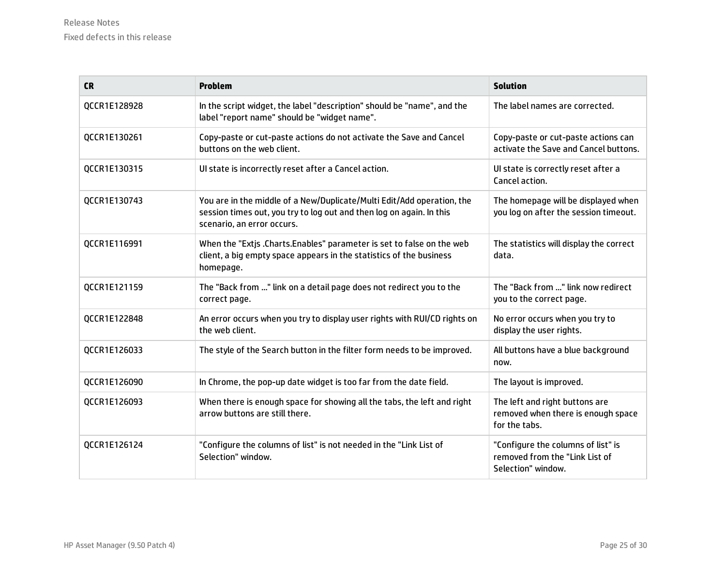| <b>CR</b>    | <b>Problem</b>                                                                                                                                                               | <b>Solution</b>                                                                            |
|--------------|------------------------------------------------------------------------------------------------------------------------------------------------------------------------------|--------------------------------------------------------------------------------------------|
| QCCR1E128928 | In the script widget, the label "description" should be "name", and the<br>label "report name" should be "widget name".                                                      | The label names are corrected.                                                             |
| QCCR1E130261 | Copy-paste or cut-paste actions do not activate the Save and Cancel<br>buttons on the web client.                                                                            | Copy-paste or cut-paste actions can<br>activate the Save and Cancel buttons.               |
| QCCR1E130315 | Ul state is incorrectly reset after a Cancel action.                                                                                                                         | Ul state is correctly reset after a<br>Cancel action.                                      |
| QCCR1E130743 | You are in the middle of a New/Duplicate/Multi Edit/Add operation, the<br>session times out, you try to log out and then log on again. In this<br>scenario, an error occurs. | The homepage will be displayed when<br>you log on after the session timeout.               |
| QCCR1E116991 | When the "Extis .Charts.Enables" parameter is set to false on the web<br>client, a big empty space appears in the statistics of the business<br>homepage.                    | The statistics will display the correct<br>data.                                           |
| QCCR1E121159 | The "Back from " link on a detail page does not redirect you to the<br>correct page.                                                                                         | The "Back from " link now redirect<br>you to the correct page.                             |
| QCCR1E122848 | An error occurs when you try to display user rights with RUI/CD rights on<br>the web client.                                                                                 | No error occurs when you try to<br>display the user rights.                                |
| QCCR1E126033 | The style of the Search button in the filter form needs to be improved.                                                                                                      | All buttons have a blue background<br>now.                                                 |
| QCCR1E126090 | In Chrome, the pop-up date widget is too far from the date field.                                                                                                            | The layout is improved.                                                                    |
| QCCR1E126093 | When there is enough space for showing all the tabs, the left and right<br>arrow buttons are still there.                                                                    | The left and right buttons are<br>removed when there is enough space<br>for the tabs.      |
| QCCR1E126124 | "Configure the columns of list" is not needed in the "Link List of<br>Selection" window.                                                                                     | "Configure the columns of list" is<br>removed from the "Link List of<br>Selection" window. |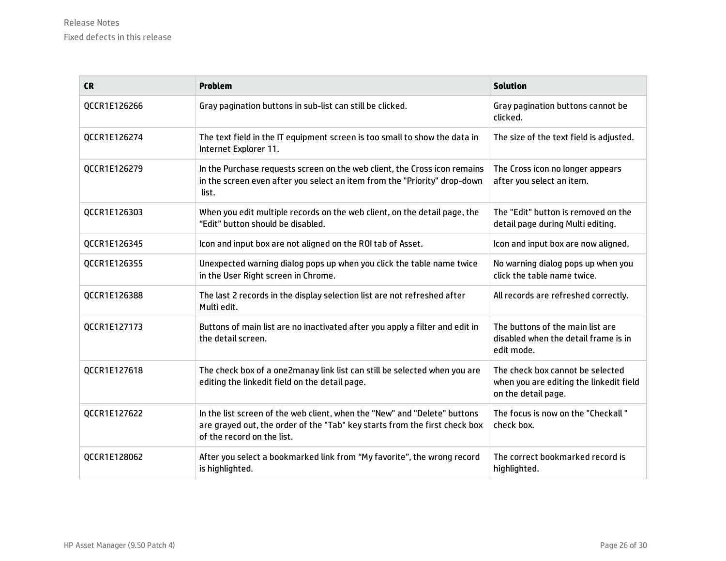| <b>CR</b>    | <b>Problem</b>                                                                                                                                                                        | <b>Solution</b>                                                                                    |
|--------------|---------------------------------------------------------------------------------------------------------------------------------------------------------------------------------------|----------------------------------------------------------------------------------------------------|
| QCCR1E126266 | Gray pagination buttons in sub-list can still be clicked.                                                                                                                             | Gray pagination buttons cannot be<br>clicked.                                                      |
| QCCR1E126274 | The text field in the IT equipment screen is too small to show the data in<br>Internet Explorer 11.                                                                                   | The size of the text field is adjusted.                                                            |
| QCCR1E126279 | In the Purchase requests screen on the web client, the Cross icon remains<br>in the screen even after you select an item from the "Priority" drop-down<br>list.                       | The Cross icon no longer appears<br>after you select an item.                                      |
| QCCR1E126303 | When you edit multiple records on the web client, on the detail page, the<br>"Edit" button should be disabled.                                                                        | The "Edit" button is removed on the<br>detail page during Multi editing.                           |
| QCCR1E126345 | Icon and input box are not aligned on the ROI tab of Asset.                                                                                                                           | Icon and input box are now aligned.                                                                |
| QCCR1E126355 | Unexpected warning dialog pops up when you click the table name twice<br>in the User Right screen in Chrome.                                                                          | No warning dialog pops up when you<br>click the table name twice.                                  |
| QCCR1E126388 | The last 2 records in the display selection list are not refreshed after<br>Multi edit.                                                                                               | All records are refreshed correctly.                                                               |
| QCCR1E127173 | Buttons of main list are no inactivated after you apply a filter and edit in<br>the detail screen.                                                                                    | The buttons of the main list are<br>disabled when the detail frame is in<br>edit mode.             |
| QCCR1E127618 | The check box of a one2manay link list can still be selected when you are<br>editing the linkedit field on the detail page.                                                           | The check box cannot be selected<br>when you are editing the linkedit field<br>on the detail page. |
| QCCR1E127622 | In the list screen of the web client, when the "New" and "Delete" buttons<br>are grayed out, the order of the "Tab" key starts from the first check box<br>of the record on the list. | The focus is now on the "Checkall"<br>check box.                                                   |
| QCCR1E128062 | After you select a bookmarked link from "My favorite", the wrong record<br>is highlighted.                                                                                            | The correct bookmarked record is<br>highlighted.                                                   |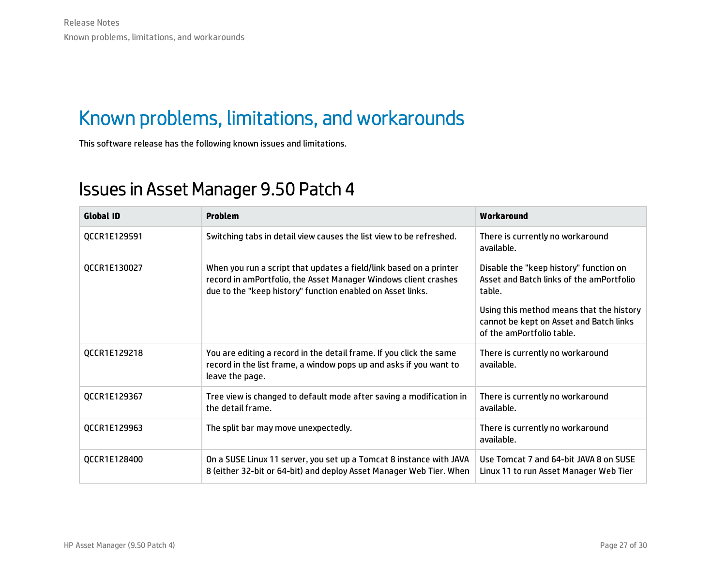### <span id="page-26-0"></span>Known problems, limitations, and workarounds

<span id="page-26-1"></span>This software release has the following known issues and limitations.

#### Issues in Asset Manager 9.50 Patch 4

| <b>Global ID</b> | <b>Problem</b>                                                                                                                                                                                      | Workaround                                                                                                       |
|------------------|-----------------------------------------------------------------------------------------------------------------------------------------------------------------------------------------------------|------------------------------------------------------------------------------------------------------------------|
| QCCR1E129591     | Switching tabs in detail view causes the list view to be refreshed.                                                                                                                                 | There is currently no workaround<br>available.                                                                   |
| QCCR1E130027     | When you run a script that updates a field/link based on a printer<br>record in amPortfolio, the Asset Manager Windows client crashes<br>due to the "keep history" function enabled on Asset links. | Disable the "keep history" function on<br>Asset and Batch links of the amPortfolio<br>table.                     |
|                  |                                                                                                                                                                                                     | Using this method means that the history<br>cannot be kept on Asset and Batch links<br>of the amPortfolio table. |
| QCCR1E129218     | You are editing a record in the detail frame. If you click the same<br>record in the list frame, a window pops up and asks if you want to<br>leave the page.                                        | There is currently no workaround<br>available.                                                                   |
| QCCR1E129367     | Tree view is changed to default mode after saving a modification in<br>the detail frame.                                                                                                            | There is currently no workaround<br>available.                                                                   |
| QCCR1E129963     | The split bar may move unexpectedly.                                                                                                                                                                | There is currently no workaround<br>available.                                                                   |
| QCCR1E128400     | On a SUSE Linux 11 server, you set up a Tomcat 8 instance with JAVA<br>8 (either 32-bit or 64-bit) and deploy Asset Manager Web Tier. When                                                          | Use Tomcat 7 and 64-bit JAVA 8 on SUSE<br>Linux 11 to run Asset Manager Web Tier                                 |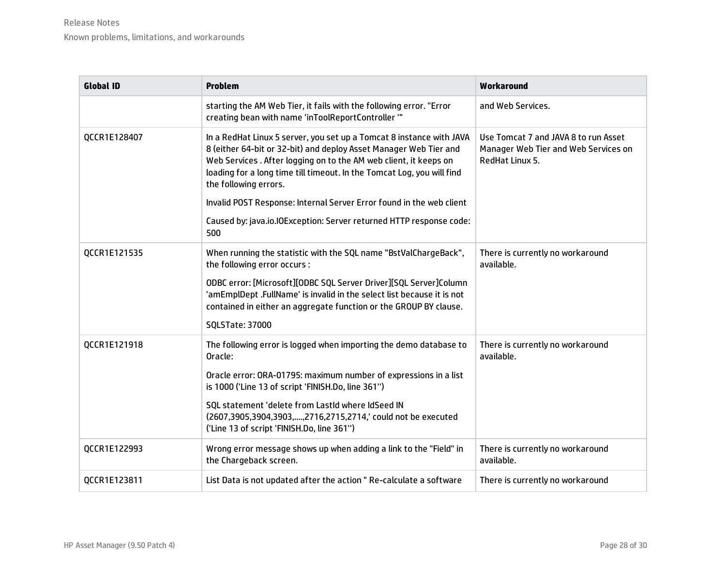| <b>Global ID</b> | <b>Problem</b>                                                                                                                                                                                                                                                                                                                                                                            | Workaround                                                                                      |
|------------------|-------------------------------------------------------------------------------------------------------------------------------------------------------------------------------------------------------------------------------------------------------------------------------------------------------------------------------------------------------------------------------------------|-------------------------------------------------------------------------------------------------|
|                  | starting the AM Web Tier, it fails with the following error. "Error<br>creating bean with name 'inToolReportController "                                                                                                                                                                                                                                                                  | and Web Services.                                                                               |
| QCCR1E128407     | In a RedHat Linux 5 server, you set up a Tomcat 8 instance with JAVA<br>8 (either 64-bit or 32-bit) and deploy Asset Manager Web Tier and<br>Web Services . After logging on to the AM web client, it keeps on<br>loading for a long time till timeout. In the Tomcat Log, you will find<br>the following errors.<br>Invalid POST Response: Internal Server Error found in the web client | Use Tomcat 7 and JAVA 8 to run Asset<br>Manager Web Tier and Web Services on<br>RedHat Linux 5. |
|                  | Caused by: java.io.IOException: Server returned HTTP response code:<br>500                                                                                                                                                                                                                                                                                                                |                                                                                                 |
| QCCR1E121535     | When running the statistic with the SQL name "BstValChargeBack",<br>the following error occurs :                                                                                                                                                                                                                                                                                          | There is currently no workaround<br>available.                                                  |
|                  | ODBC error: [Microsoft][ODBC SQL Server Driver][SQL Server]Column<br>'amEmplDept .FullName' is invalid in the select list because it is not<br>contained in either an aggregate function or the GROUP BY clause.                                                                                                                                                                          |                                                                                                 |
|                  | <b>SQLSTate: 37000</b>                                                                                                                                                                                                                                                                                                                                                                    |                                                                                                 |
| QCCR1E121918     | The following error is logged when importing the demo database to<br>Oracle:                                                                                                                                                                                                                                                                                                              | There is currently no workaround<br>available.                                                  |
|                  | Oracle error: ORA-01795: maximum number of expressions in a list<br>is 1000 ('Line 13 of script 'FINISH.Do, line 361")                                                                                                                                                                                                                                                                    |                                                                                                 |
|                  | SQL statement 'delete from LastId where IdSeed IN<br>(2607,3905,3904,3903, , 2716,2715,2714,' could not be executed<br>('Line 13 of script 'FINISH.Do, line 361")                                                                                                                                                                                                                         |                                                                                                 |
| QCCR1E122993     | Wrong error message shows up when adding a link to the "Field" in<br>the Chargeback screen.                                                                                                                                                                                                                                                                                               | There is currently no workaround<br>available.                                                  |
| QCCR1E123811     | List Data is not updated after the action "Re-calculate a software                                                                                                                                                                                                                                                                                                                        | There is currently no workaround                                                                |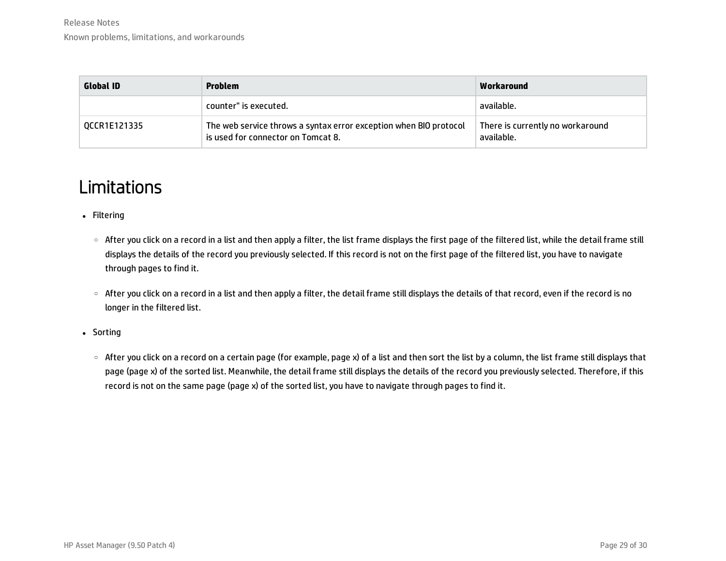| <b>Global ID</b> | <b>Problem</b>                                                                                          | Workaround                                     |
|------------------|---------------------------------------------------------------------------------------------------------|------------------------------------------------|
|                  | counter" is executed.                                                                                   | available.                                     |
| OCCR1E121335     | The web service throws a syntax error exception when BIO protocol<br>is used for connector on Tomcat 8. | There is currently no workaround<br>available. |

### <span id="page-28-0"></span>Limitations

- Filtering
	- After you click on a record in a list and then apply a filter, the list frame displays the first page of the filtered list, while the detail frame still displays the details of the record you previously selected. If this record is not on the first page of the filtered list, you have to navigate through pages to find it.
	- After you click on a record in a list and then apply a filter, the detail frame still displays the details of that record, even if the record is no longer in the filtered list.
- Sorting
	- After you click on a record on a certain page (for example, page x) of a list and then sort the list by a column, the list frame still displays that page (page x) of the sorted list. Meanwhile, the detail frame still displays the details of the record you previously selected. Therefore, if this record is not on the same page (page x) of the sorted list, you have to navigate through pages to find it.